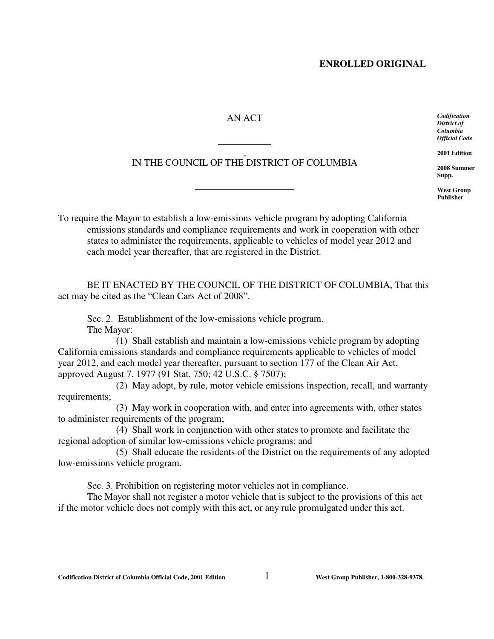## **ENROLLED ORIGINAL**

## AN ACT

IN THE COUNCIL OF THE DISTRICT OF COLUMBIA

l

 $\overline{a}$ 

*Codification District of Columbia Official Code*

**2001 Edition**

**2008 Summer Supp.**

**West Group Publisher**

To require the Mayor to establish a low-emissions vehicle program by adopting California emissions standards and compliance requirements and work in cooperation with other states to administer the requirements, applicable to vehicles of model year 2012 and each model year thereafter, that are registered in the District.

BE IT ENACTED BY THE COUNCIL OF THE DISTRICT OF COLUMBIA, That this act may be cited as the "Clean Cars Act of 2008".

Sec. 2. Establishment of the low-emissions vehicle program. The Mayor:

(1) Shall establish and maintain a low-emissions vehicle program by adopting California emissions standards and compliance requirements applicable to vehicles of model year 2012, and each model year thereafter, pursuant to section 177 of the Clean Air Act, approved August 7, 1977 (91 Stat. 750; 42 U.S.C. § 7507);

(2) May adopt, by rule, motor vehicle emissions inspection, recall, and warranty requirements;

(3) May work in cooperation with, and enter into agreements with, other states to administer requirements of the program;

(4) Shall work in conjunction with other states to promote and facilitate the regional adoption of similar low-emissions vehicle programs; and

(5) Shall educate the residents of the District on the requirements of any adopted low-emissions vehicle program.

Sec. 3. Prohibition on registering motor vehicles not in compliance.

The Mayor shall not register a motor vehicle that is subject to the provisions of this act if the motor vehicle does not comply with this act, or any rule promulgated under this act.